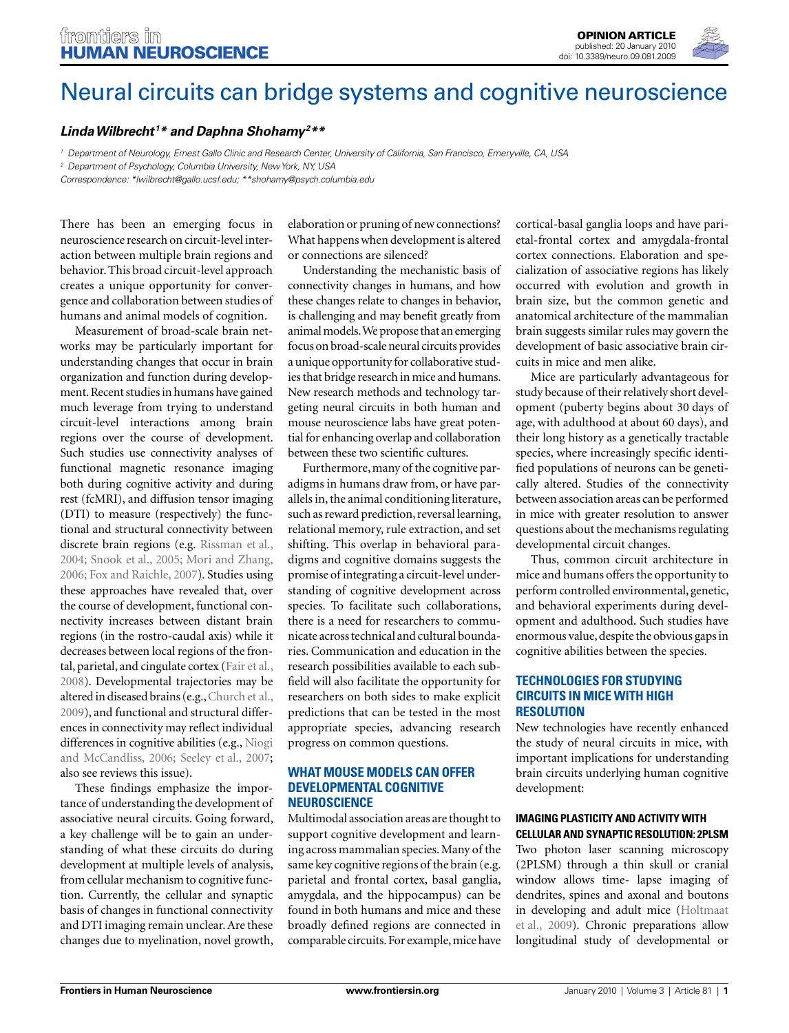

# Neural circuits can bridge systems and cognitive neuroscience

# *Linda Wilbrecht1 \* and Daphna Shohamy2 \*\**

*1 Department of Neurology, Ernest Gallo Clinic and Research Center, University of California, San Francisco, Emeryville, CA, USA*

*2 Department of Psychology, Columbia University, New York, NY, USA*

*Correspondence: \*lwilbrecht@gallo.ucsf.edu; \*\*shohamy@psych.columbia.edu*

There has been an emerging focus in neuroscience research on circuit-level interaction between multiple brain regions and behavior. This broad circuit-level approach creates a unique opportunity for convergence and collaboration between studies of humans and animal models of cognition.

Measurement of broad-scale brain networks may be particularly important for understanding changes that occur in brain organization and function during development. Recent studies in humans have gained much leverage from trying to understand circuit-level interactions among brain regions over the course of development. Such studies use connectivity analyses of functional magnetic resonance imaging both during cognitive activity and during rest (fcMRI), and diffusion tensor imaging (DTI) to measure (respectively) the functional and structural connectivity between discrete brain regions (e.g. Rissman et al., 2004; Snook et al., 2005; Mori and Zhang, 2006; Fox and Raichle, 2007). Studies using these approaches have revealed that, over the course of development, functional connectivity increases between distant brain regions (in the rostro-caudal axis) while it decreases between local regions of the frontal, parietal, and cingulate cortex (Fair et al., 2008). Developmental trajectories may be altered in diseased brains (e.g., Church et al., 2009), and functional and structural differences in connectivity may reflect individual differences in cognitive abilities (e.g., Niogi and McCandliss, 2006; Seeley et al., 2007; also see reviews this issue).

These findings emphasize the importance of understanding the development of associative neural circuits. Going forward, a key challenge will be to gain an understanding of what these circuits do during development at multiple levels of analysis, from cellular mechanism to cognitive function. Currently, the cellular and synaptic basis of changes in functional connectivity and DTI imaging remain unclear. Are these changes due to myelination, novel growth,

 elaboration or pruning of new connections? What happens when development is altered or connections are silenced?

Understanding the mechanistic basis of connectivity changes in humans, and how these changes relate to changes in behavior, is challenging and may benefit greatly from animal models. We propose that an emerging focus on broad-scale neural circuits provides a unique opportunity for collaborative studies that bridge research in mice and humans. New research methods and technology targeting neural circuits in both human and mouse neuroscience labs have great potential for enhancing overlap and collaboration between these two scientific cultures.

Furthermore, many of the cognitive paradigms in humans draw from, or have parallels in, the animal conditioning literature, such as reward prediction, reversal learning, relational memory, rule extraction, and set shifting. This overlap in behavioral paradigms and cognitive domains suggests the promise of integrating a circuit-level understanding of cognitive development across species. To facilitate such collaborations, there is a need for researchers to communicate across technical and cultural boundaries. Communication and education in the research possibilities available to each subfield will also facilitate the opportunity for researchers on both sides to make explicit predictions that can be tested in the most appropriate species, advancing research progress on common questions.

### **WHAT MOUSE MODELS CAN OFFER DEVELOPMENTAL COGNITIVE NEUROSCIENCE**

Multimodal association areas are thought to support cognitive development and learning across mammalian species. Many of the same key cognitive regions of the brain (e.g. parietal and frontal cortex, basal ganglia, amygdala, and the hippocampus) can be found in both humans and mice and these broadly defined regions are connected in comparable circuits. For example, mice have cortical-basal ganglia loops and have parietal-frontal cortex and amygdala- frontal cortex connections. Elaboration and specialization of associative regions has likely occurred with evolution and growth in brain size, but the common genetic and anatomical architecture of the mammalian brain suggests similar rules may govern the development of basic associative brain circuits in mice and men alike.

Mice are particularly advantageous for study because of their relatively short development (puberty begins about 30 days of age, with adulthood at about 60 days), and their long history as a genetically tractable species, where increasingly specific identified populations of neurons can be genetically altered. Studies of the connectivity between association areas can be performed in mice with greater resolution to answer questions about the mechanisms regulating developmental circuit changes.

Thus, common circuit architecture in mice and humans offers the opportunity to perform controlled environmental, genetic, and behavioral experiments during development and adulthood. Such studies have enormous value, despite the obvious gaps in cognitive abilities between the species.

### **TECHNOLOGIES FOR STUDYING CIRCUITS IN MICE WITH HIGH RESOLUTION**

New technologies have recently enhanced the study of neural circuits in mice, with important implications for understanding brain circuits underlying human cognitive development:

#### **IMAGING PLASTICITY AND ACTIVITY WITH CELLULAR AND SYNAPTIC RESOLUTION: 2PLSM**

Two photon laser scanning microscopy (2PLSM) through a thin skull or cranial window allows time- lapse imaging of dendrites, spines and axonal and boutons in developing and adult mice (Holtmaat et al., 2009). Chronic preparations allow longitudinal study of developmental or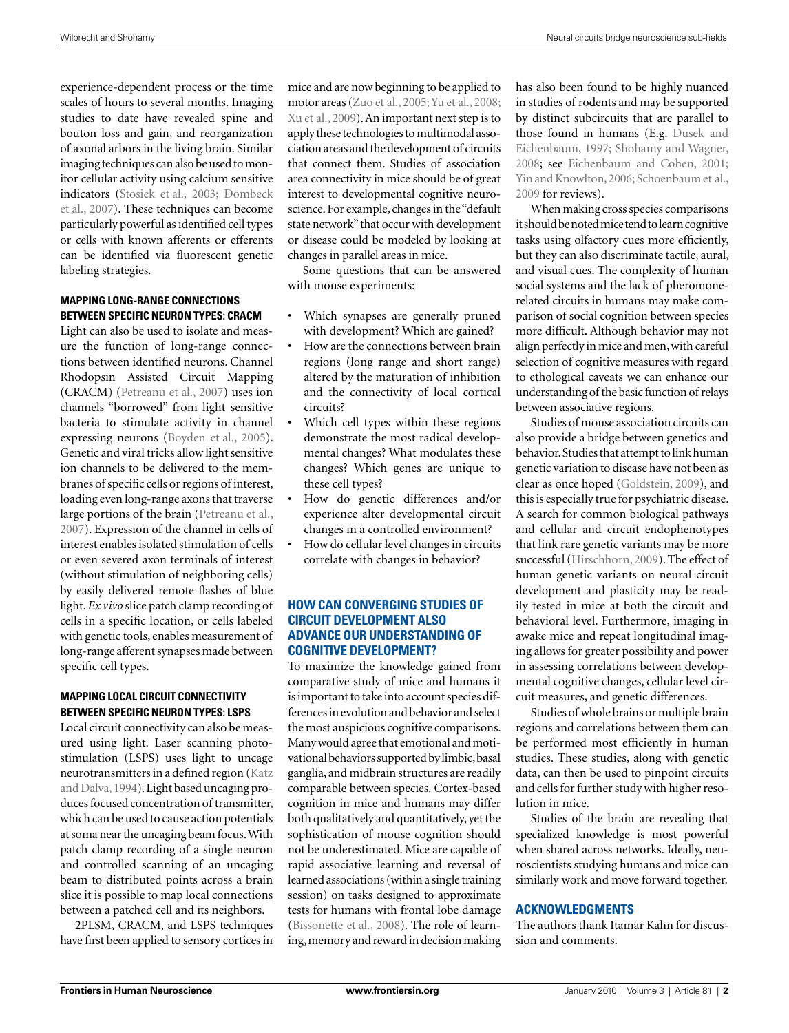experience-dependent process or the time scales of hours to several months. Imaging studies to date have revealed spine and bouton loss and gain, and reorganization of axonal arbors in the living brain. Similar imaging techniques can also be used to monitor cellular activity using calcium sensitive indicators (Stosiek et al., 2003; Dombeck et al., 2007). These techniques can become particularly powerful as identified cell types or cells with known afferents or efferents can be identified via fluorescent genetic labeling strategies.

# **MAPPING LONG-RANGE CONNECTIONS BETWEEN SPECIFIC NEURON TYPES: CRACM**

Light can also be used to isolate and measure the function of long-range connections between identified neurons. Channel Rhodopsin Assisted Circuit Mapping (CRACM) (Petreanu et al., 2007) uses ion channels "borrowed" from light sensitive bacteria to stimulate activity in channel expressing neurons (Boyden et al., 2005). Genetic and viral tricks allow light sensitive ion channels to be delivered to the membranes of specific cells or regions of interest, loading even long-range axons that traverse large portions of the brain (Petreanu et al., 2007). Expression of the channel in cells of interest enables isolated stimulation of cells or even severed axon terminals of interest (without stimulation of neighboring cells) by easily delivered remote flashes of blue light. *Ex vivo* slice patch clamp recording of cells in a specific location, or cells labeled with genetic tools, enables measurement of long-range afferent synapses made between specific cell types.

# **MAPPING LOCAL CIRCUIT CONNECTIVITY BETWEEN SPECIFIC NEURON TYPES: LSPS**

Local circuit connectivity can also be measured using light. Laser scanning photostimulation (LSPS) uses light to uncage neurotransmitters in a defined region (Katz and Dalva, 1994). Light based uncaging produces focused concentration of transmitter, which can be used to cause action potentials at soma near the uncaging beam focus. With patch clamp recording of a single neuron and controlled scanning of an uncaging beam to distributed points across a brain slice it is possible to map local connections between a patched cell and its neighbors.

2PLSM, CRACM, and LSPS techniques have first been applied to sensory cortices in

mice and are now beginning to be applied to motor areas (Zuo et al., 2005; Yu et al., 2008; Xu et al., 2009). An important next step is to apply these technologies to multimodal association areas and the development of circuits that connect them. Studies of association area connectivity in mice should be of great interest to developmental cognitive neuroscience. For example, changes in the "default state network" that occur with development or disease could be modeled by looking at changes in parallel areas in mice.

Some questions that can be answered with mouse experiments:

- Which synapses are generally pruned with development? Which are gained?
- How are the connections between brain regions (long range and short range) altered by the maturation of inhibition and the connectivity of local cortical circuits?
- Which cell types within these regions demonstrate the most radical developmental changes? What modulates these changes? Which genes are unique to these cell types?
- How do genetic differences and/or experience alter developmental circuit changes in a controlled environment?
- How do cellular level changes in circuits correlate with changes in behavior?

## **HOW CAN CONVERGING STUDIES OF CIRCUIT DEVELOPMENT ALSO ADVANCE OUR UNDERSTANDING OF COGNITIVE DEVELOPMENT?**

To maximize the knowledge gained from comparative study of mice and humans it is important to take into account species differences in evolution and behavior and select the most auspicious cognitive comparisons. Many would agree that emotional and motivational behaviors supported by limbic, basal ganglia, and midbrain structures are readily comparable between species. Cortex-based cognition in mice and humans may differ both qualitatively and quantitatively, yet the sophistication of mouse cognition should not be underestimated. Mice are capable of rapid associative learning and reversal of learned associations (within a single training session) on tasks designed to approximate tests for humans with frontal lobe damage (Bissonette et al., 2008). The role of learning, memory and reward in decision making has also been found to be highly nuanced in studies of rodents and may be supported by distinct subcircuits that are parallel to those found in humans (E.g. Dusek and Eichenbaum, 1997; Shohamy and Wagner, 2008; see Eichenbaum and Cohen, 2001; Yin and Knowlton, 2006; Schoenbaum et al., 2009 for reviews).

When making cross species comparisons it should be noted mice tend to learn cognitive tasks using olfactory cues more efficiently, but they can also discriminate tactile, aural, and visual cues. The complexity of human social systems and the lack of pheromonerelated circuits in humans may make comparison of social cognition between species more difficult. Although behavior may not align perfectly in mice and men, with careful selection of cognitive measures with regard to ethological caveats we can enhance our understanding of the basic function of relays between associative regions.

Studies of mouse association circuits can also provide a bridge between genetics and behavior. Studies that attempt to link human genetic variation to disease have not been as clear as once hoped (Goldstein, 2009), and this is especially true for psychiatric disease. A search for common biological pathways and cellular and circuit endophenotypes that link rare genetic variants may be more successful (Hirschhorn, 2009). The effect of human genetic variants on neural circuit development and plasticity may be readily tested in mice at both the circuit and behavioral level. Furthermore, imaging in awake mice and repeat longitudinal imaging allows for greater possibility and power in assessing correlations between developmental cognitive changes, cellular level circuit measures, and genetic differences.

Studies of whole brains or multiple brain regions and correlations between them can be performed most efficiently in human studies. These studies, along with genetic data, can then be used to pinpoint circuits and cells for further study with higher resolution in mice.

Studies of the brain are revealing that specialized knowledge is most powerful when shared across networks. Ideally, neuroscientists studying humans and mice can similarly work and move forward together.

## **ACKNOWLEDGMENTS**

The authors thank Itamar Kahn for discussion and comments.